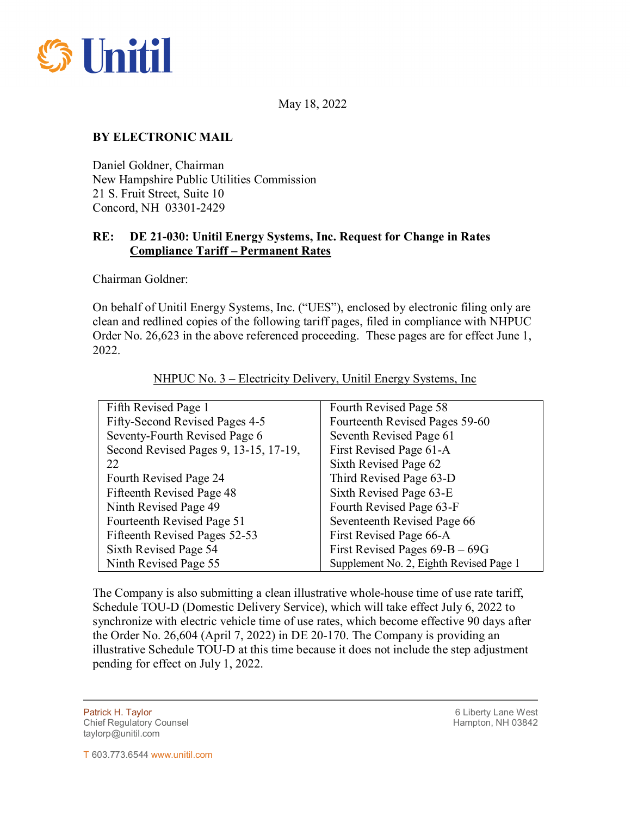

May 18, 2022

## **BY ELECTRONIC MAIL**

Daniel Goldner, Chairman New Hampshire Public Utilities Commission 21 S. Fruit Street, Suite 10 Concord, NH 03301-2429

## **RE: DE 21-030: Unitil Energy Systems, Inc. Request for Change in Rates Compliance Tariff – Permanent Rates**

Chairman Goldner:

On behalf of Unitil Energy Systems, Inc. ("UES"), enclosed by electronic filing only are clean and redlined copies of the following tariff pages, filed in compliance with NHPUC Order No. 26,623 in the above referenced proceeding. These pages are for effect June 1, 2022.

| Fifth Revised Page 1                  | Fourth Revised Page 58                  |
|---------------------------------------|-----------------------------------------|
| Fifty-Second Revised Pages 4-5        | Fourteenth Revised Pages 59-60          |
| Seventy-Fourth Revised Page 6         | Seventh Revised Page 61                 |
| Second Revised Pages 9, 13-15, 17-19, | First Revised Page 61-A                 |
| 22                                    | Sixth Revised Page 62                   |
| Fourth Revised Page 24                | Third Revised Page 63-D                 |
| Fifteenth Revised Page 48             | Sixth Revised Page 63-E                 |
| Ninth Revised Page 49                 | Fourth Revised Page 63-F                |
| Fourteenth Revised Page 51            | Seventeenth Revised Page 66             |
| Fifteenth Revised Pages 52-53         | First Revised Page 66-A                 |
| Sixth Revised Page 54                 | First Revised Pages $69 - B - 69$ G     |
| Ninth Revised Page 55                 | Supplement No. 2, Eighth Revised Page 1 |

NHPUC No. 3 – Electricity Delivery, Unitil Energy Systems, Inc

The Company is also submitting a clean illustrative whole-house time of use rate tariff, Schedule TOU-D (Domestic Delivery Service), which will take effect July 6, 2022 to synchronize with electric vehicle time of use rates, which become effective 90 days after the Order No. 26,604 (April 7, 2022) in DE 20-170. The Company is providing an illustrative Schedule TOU-D at this time because it does not include the step adjustment pending for effect on July 1, 2022.

Patrick H. Taylor 6 Liberty Lane West Chief Regulatory Counsel **Hampton, NH 03842** Chief Regulatory Counsel taylorp@unitil.com

 $\overline{a}$